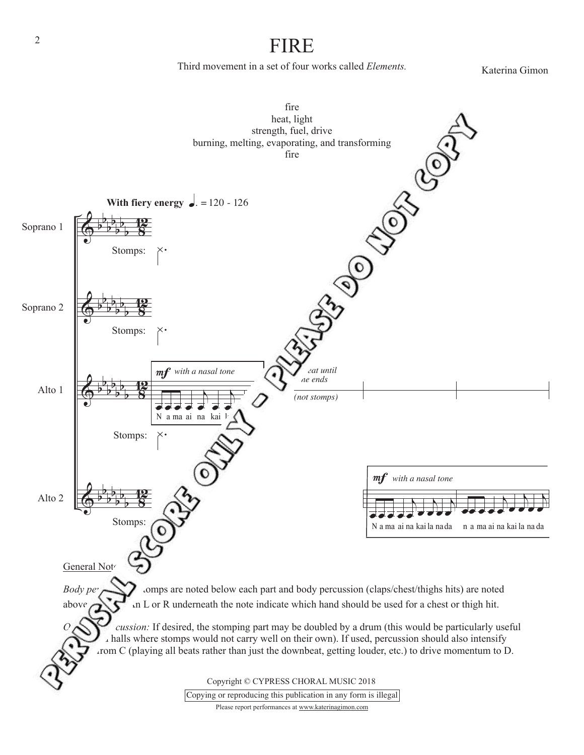Third movement in a set of four works called *Elements.*

Katerina Gimon

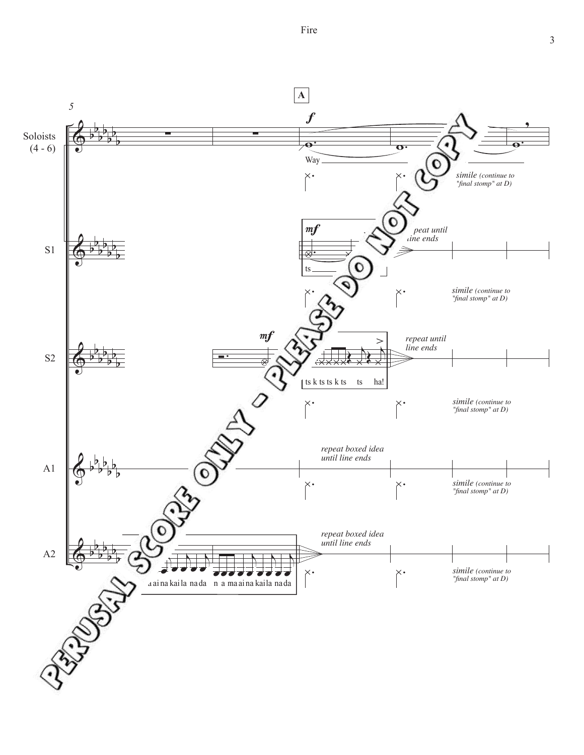![](_page_1_Figure_1.jpeg)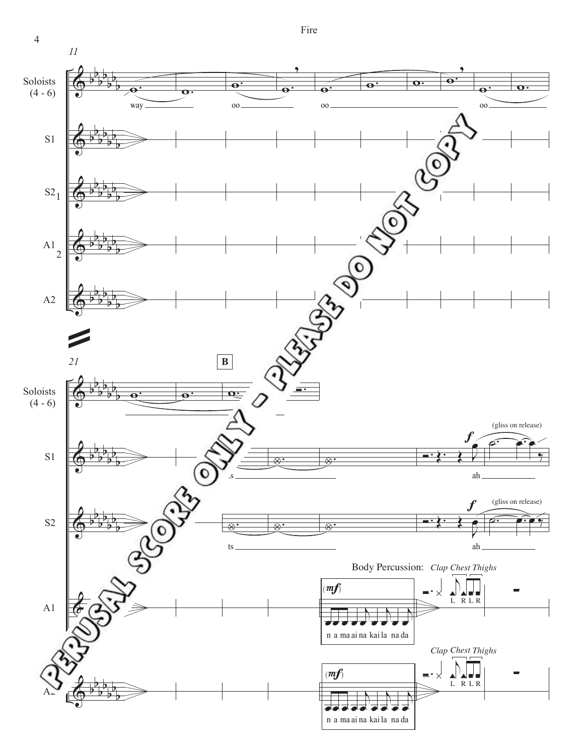![](_page_2_Figure_1.jpeg)

4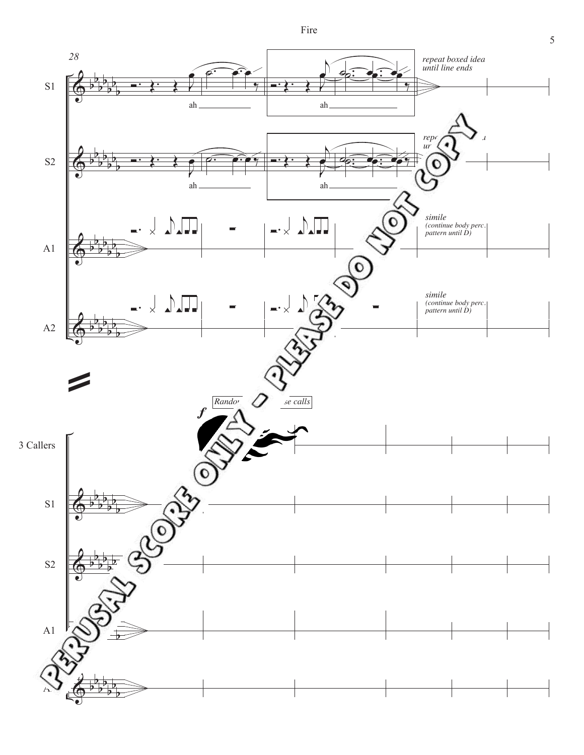![](_page_3_Figure_1.jpeg)

5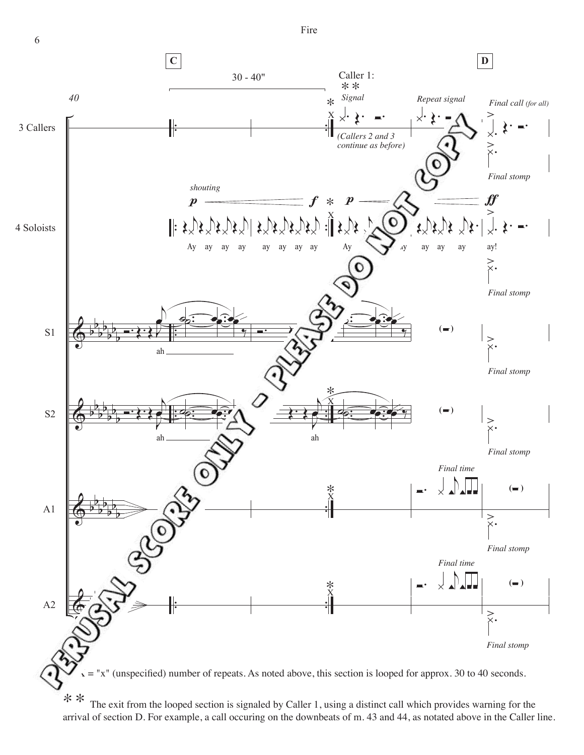![](_page_4_Figure_1.jpeg)

\*\* The exit from the looped section is signaled by Caller 1, using a distinct call which provides warning for the arrival of section D. For example, a call occuring on the downbeats of m. 43 and 44, as notated above in the Caller line.

6